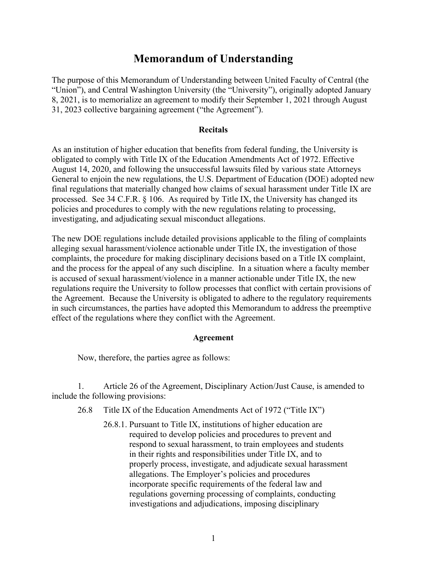## **Memorandum of Understanding**

The purpose of this Memorandum of Understanding between United Faculty of Central (the "Union"), and Central Washington University (the "University"), originally adopted January 8, 2021, is to memorialize an agreement to modify their September 1, 2021 through August 31, 2023 collective bargaining agreement ("the Agreement").

## **Recitals**

As an institution of higher education that benefits from federal funding, the University is obligated to comply with Title IX of the Education Amendments Act of 1972. Effective August 14, 2020, and following the unsuccessful lawsuits filed by various state Attorneys General to enjoin the new regulations, the U.S. Department of Education (DOE) adopted new final regulations that materially changed how claims of sexual harassment under Title IX are processed. See 34 C.F.R. § 106. As required by Title IX, the University has changed its policies and procedures to comply with the new regulations relating to processing, investigating, and adjudicating sexual misconduct allegations.

The new DOE regulations include detailed provisions applicable to the filing of complaints alleging sexual harassment/violence actionable under Title IX, the investigation of those complaints, the procedure for making disciplinary decisions based on a Title IX complaint, and the process for the appeal of any such discipline. In a situation where a faculty member is accused of sexual harassment/violence in a manner actionable under Title IX, the new regulations require the University to follow processes that conflict with certain provisions of the Agreement. Because the University is obligated to adhere to the regulatory requirements in such circumstances, the parties have adopted this Memorandum to address the preemptive effect of the regulations where they conflict with the Agreement.

## **Agreement**

Now, therefore, the parties agree as follows:

1. Article 26 of the Agreement, Disciplinary Action/Just Cause, is amended to include the following provisions:

- 26.8 Title IX of the Education Amendments Act of 1972 ("Title IX")
	- 26.8.1. Pursuant to Title IX, institutions of higher education are required to develop policies and procedures to prevent and respond to sexual harassment, to train employees and students in their rights and responsibilities under Title IX, and to properly process, investigate, and adjudicate sexual harassment allegations. The Employer's policies and procedures incorporate specific requirements of the federal law and regulations governing processing of complaints, conducting investigations and adjudications, imposing disciplinary